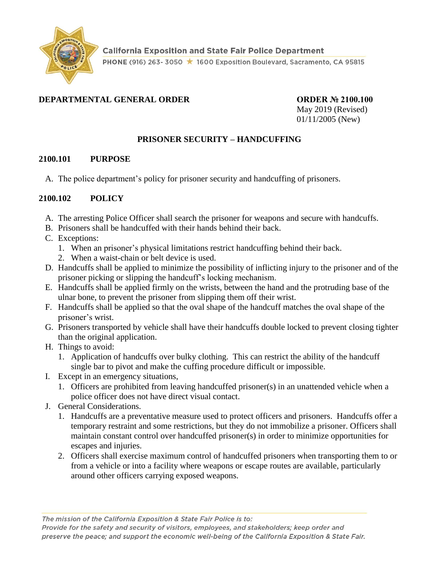

## **DEPARTMENTAL GENERAL ORDER ORDER № 2100.100**

May 2019 (Revised) 01/11/2005 (New)

### **PRISONER SECURITY – HANDCUFFING**

#### **2100.101 PURPOSE**

A. The police department's policy for prisoner security and handcuffing of prisoners.

### **2100.102 POLICY**

- A. The arresting Police Officer shall search the prisoner for weapons and secure with handcuffs.
- B. Prisoners shall be handcuffed with their hands behind their back.
- C. Exceptions:
	- 1. When an prisoner's physical limitations restrict handcuffing behind their back.
	- 2. When a waist-chain or belt device is used.
- D. Handcuffs shall be applied to minimize the possibility of inflicting injury to the prisoner and of the prisoner picking or slipping the handcuff's locking mechanism.
- E. Handcuffs shall be applied firmly on the wrists, between the hand and the protruding base of the ulnar bone, to prevent the prisoner from slipping them off their wrist.
- F. Handcuffs shall be applied so that the oval shape of the handcuff matches the oval shape of the prisoner's wrist.
- G. Prisoners transported by vehicle shall have their handcuffs double locked to prevent closing tighter than the original application.
- H. Things to avoid:
	- 1. Application of handcuffs over bulky clothing. This can restrict the ability of the handcuff single bar to pivot and make the cuffing procedure difficult or impossible.
- I. Except in an emergency situations,
	- 1. Officers are prohibited from leaving handcuffed prisoner(s) in an unattended vehicle when a police officer does not have direct visual contact.
- J. General Considerations.
	- 1. Handcuffs are a preventative measure used to protect officers and prisoners. Handcuffs offer a temporary restraint and some restrictions, but they do not immobilize a prisoner. Officers shall maintain constant control over handcuffed prisoner(s) in order to minimize opportunities for escapes and injuries.
	- 2. Officers shall exercise maximum control of handcuffed prisoners when transporting them to or from a vehicle or into a facility where weapons or escape routes are available, particularly around other officers carrying exposed weapons.